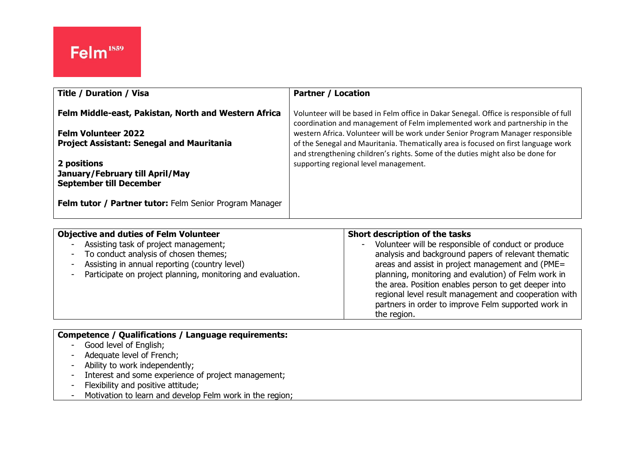| <b>Title / Duration / Visa</b>                                                                                                         | <b>Partner / Location</b>                                                                                                                                                                                                                                                                                                                                                                                                        |
|----------------------------------------------------------------------------------------------------------------------------------------|----------------------------------------------------------------------------------------------------------------------------------------------------------------------------------------------------------------------------------------------------------------------------------------------------------------------------------------------------------------------------------------------------------------------------------|
| Felm Middle-east, Pakistan, North and Western Africa<br><b>Felm Volunteer 2022</b><br><b>Project Assistant: Senegal and Mauritania</b> | Volunteer will be based in Felm office in Dakar Senegal. Office is responsible of full<br>coordination and management of Felm implemented work and partnership in the<br>western Africa. Volunteer will be work under Senior Program Manager responsible<br>of the Senegal and Mauritania. Thematically area is focused on first language work<br>and strengthening children's rights. Some of the duties might also be done for |
| 2 positions<br>January/February till April/May<br><b>September till December</b>                                                       | supporting regional level management.                                                                                                                                                                                                                                                                                                                                                                                            |
| Felm tutor / Partner tutor: Felm Senior Program Manager                                                                                |                                                                                                                                                                                                                                                                                                                                                                                                                                  |

| <b>Objective and duties of Felm Volunteer</b>                                                                                                                                                                                                          | Short description of the tasks                                                                                                                                                                                                                                                |
|--------------------------------------------------------------------------------------------------------------------------------------------------------------------------------------------------------------------------------------------------------|-------------------------------------------------------------------------------------------------------------------------------------------------------------------------------------------------------------------------------------------------------------------------------|
| Assisting task of project management;<br>-<br>To conduct analysis of chosen themes;<br>$\blacksquare$<br>Assisting in annual reporting (country level)<br>$\overline{\phantom{a}}$<br>Participate on project planning, monitoring and evaluation.<br>- | Volunteer will be responsible of conduct or produce<br>analysis and background papers of relevant thematic<br>areas and assist in project management and (PME=<br>planning, monitoring and evalution) of Felm work in<br>the area. Position enables person to get deeper into |
|                                                                                                                                                                                                                                                        | regional level result management and cooperation with<br>partners in order to improve Felm supported work in<br>the region.                                                                                                                                                   |

### **Competence / Qualifications / Language requirements:**

- Good level of English;
- Adequate level of French;
- Ability to work independently;
- Interest and some experience of project management;
- Flexibility and positive attitude;
- Motivation to learn and develop Felm work in the region;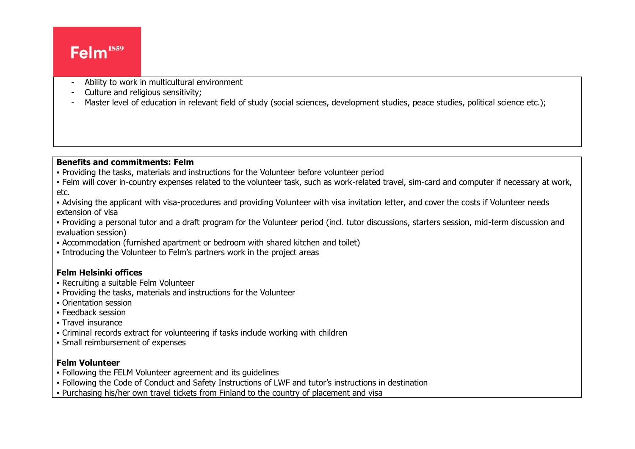## Felm<sup>1859</sup>

- Ability to work in multicultural environment
- Culture and religious sensitivity;
- Master level of education in relevant field of study (social sciences, development studies, peace studies, political science etc.);

#### **Benefits and commitments: Felm**

- Providing the tasks, materials and instructions for the Volunteer before volunteer period
- Felm will cover in-country expenses related to the volunteer task, such as work-related travel, sim-card and computer if necessary at work, etc.
- Advising the applicant with visa-procedures and providing Volunteer with visa invitation letter, and cover the costs if Volunteer needs extension of visa
- Providing a personal tutor and a draft program for the Volunteer period (incl. tutor discussions, starters session, mid-term discussion and evaluation session)
- Accommodation (furnished apartment or bedroom with shared kitchen and toilet)
- Introducing the Volunteer to Felm's partners work in the project areas

#### **Felm Helsinki offices**

- Recruiting a suitable Felm Volunteer
- Providing the tasks, materials and instructions for the Volunteer
- Orientation session
- Feedback session
- Travel insurance
- Criminal records extract for volunteering if tasks include working with children
- Small reimbursement of expenses

#### **Felm Volunteer**

- Following the FELM Volunteer agreement and its guidelines
- Following the Code of Conduct and Safety Instructions of LWF and tutor's instructions in destination
- Purchasing his/her own travel tickets from Finland to the country of placement and visa